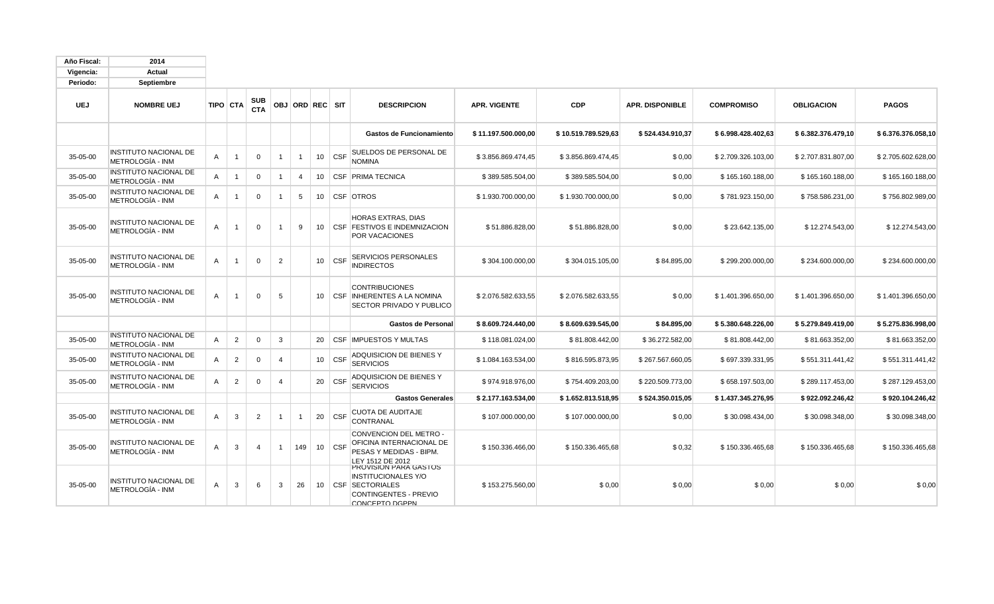| Año Fiscal: | 2014                                             |              |                |                          |                |                 |                 |            |                                                                                                                        |                     |                     |                        |                    |                    |                    |
|-------------|--------------------------------------------------|--------------|----------------|--------------------------|----------------|-----------------|-----------------|------------|------------------------------------------------------------------------------------------------------------------------|---------------------|---------------------|------------------------|--------------------|--------------------|--------------------|
| Vigencia:   | Actual                                           |              |                |                          |                |                 |                 |            |                                                                                                                        |                     |                     |                        |                    |                    |                    |
| Periodo:    | Septiembre                                       |              |                |                          |                |                 |                 |            |                                                                                                                        |                     |                     |                        |                    |                    |                    |
| <b>UEJ</b>  | <b>NOMBRE UEJ</b>                                |              | TIPO CTA       | <b>SUB</b><br><b>CTA</b> |                | OBJ ORD REC SIT |                 |            | <b>DESCRIPCION</b>                                                                                                     | <b>APR. VIGENTE</b> | <b>CDP</b>          | <b>APR. DISPONIBLE</b> | <b>COMPROMISO</b>  | <b>OBLIGACION</b>  | <b>PAGOS</b>       |
|             |                                                  |              |                |                          |                |                 |                 |            | Gastos de Funcionamiento                                                                                               | \$11.197.500.000,00 | \$10.519.789.529,63 | \$524.434.910,37       | \$6.998.428.402,63 | \$6.382.376.479,10 | \$6.376.376.058,10 |
| 35-05-00    | <b>INSTITUTO NACIONAL DE</b><br>METROLOGÍA - INM | A            | $\mathbf{1}$   | $\mathbf 0$              | $\overline{1}$ | $\overline{1}$  | 10              | <b>CSF</b> | SUELDOS DE PERSONAL DE<br>NOMINA                                                                                       | \$3.856.869.474,45  | \$3.856.869.474,45  | \$0,00                 | \$2.709.326.103,00 | \$2.707.831.807,00 | \$2.705.602.628,00 |
| 35-05-00    | <b>INSTITUTO NACIONAL DE</b><br>METROLOGÍA - INM | A            | $\overline{1}$ | $\mathbf 0$              | $\overline{1}$ | $\overline{4}$  | 10              |            | <b>CSF PRIMA TECNICA</b>                                                                                               | \$389.585.504,00    | \$389.585.504,00    | \$0,00                 | \$165.160.188,00   | \$165.160.188,00   | \$165.160.188,00   |
| 35-05-00    | <b>INSTITUTO NACIONAL DE</b><br>METROLOGÍA - INM | A            | $\mathbf{1}$   | $\Omega$                 | $\mathbf 1$    | 5               | 10              |            | CSF OTROS                                                                                                              | \$1.930.700.000,00  | \$1.930.700.000,00  | \$0,00                 | \$781.923.150,00   | \$758.586.231,00   | \$756.802.989,00   |
| 35-05-00    | <b>INSTITUTO NACIONAL DE</b><br>METROLOGÍA - INM | A            | $\mathbf{1}$   | $\Omega$                 | $\overline{1}$ | 9               | 10 <sup>°</sup> |            | HORAS EXTRAS, DIAS<br><b>CSF FESTIVOS E INDEMNIZACION</b><br>POR VACACIONES                                            | \$51.886.828,00     | \$51.886.828,00     | \$0,00                 | \$23.642.135,00    | \$12.274.543,00    | \$12.274.543,00    |
| 35-05-00    | <b>INSTITUTO NACIONAL DE</b><br>METROLOGÍA - INM | A            | $\mathbf{1}$   | $\mathbf 0$              | 2              |                 | 10              | <b>CSF</b> | SERVICIOS PERSONALES<br><b>INDIRECTOS</b>                                                                              | \$304.100.000,00    | \$304.015.105,00    | \$84.895,00            | \$299.200.000,00   | \$234.600.000,00   | \$234.600.000,00   |
| 35-05-00    | <b>INSTITUTO NACIONAL DE</b><br>METROLOGÍA - INM | $\mathsf{A}$ | $\mathbf{1}$   | $\Omega$                 | 5              |                 | 10              |            | <b>CONTRIBUCIONES</b><br>CSF INHERENTES A LA NOMINA<br>SECTOR PRIVADO Y PUBLICO                                        | \$2.076.582.633.55  | \$2.076.582.633.55  | \$0,00                 | \$1.401.396.650.00 | \$1.401.396.650,00 | \$1.401.396.650.00 |
|             |                                                  |              |                |                          |                |                 |                 |            | <b>Gastos de Personal</b>                                                                                              | \$8.609.724.440.00  | \$8.609.639.545.00  | \$84.895.00            | \$5.380.648.226.00 | \$5.279.849.419.00 | \$5.275.836.998.00 |
| 35-05-00    | <b>INSTITUTO NACIONAL DE</b><br>METROLOGÍA - INM | A            | $\overline{2}$ | $\mathbf 0$              | 3              |                 | 20              |            | <b>CSF IMPUESTOS Y MULTAS</b>                                                                                          | \$118.081.024,00    | \$81.808.442,00     | \$36.272.582,00        | \$81.808.442.00    | \$81.663.352,00    | \$81.663.352,00    |
| 35-05-00    | <b>INSTITUTO NACIONAL DE</b><br>METROLOGÍA - INM | A            | $\overline{2}$ | $\Omega$                 | $\overline{4}$ |                 | 10              | <b>CSF</b> | ADQUISICION DE BIENES Y<br><b>SERVICIOS</b>                                                                            | \$1.084.163.534,00  | \$816.595.873,95    | \$267.567.660,05       | \$697.339.331,95   | \$551.311.441,42   | \$551.311.441,42   |
| 35-05-00    | <b>INSTITUTO NACIONAL DE</b><br>METROLOGÍA - INM | Α            | $\overline{2}$ | $\mathbf 0$              | $\overline{4}$ |                 | 20              | <b>CSF</b> | ADQUISICION DE BIENES Y<br><b>SERVICIOS</b>                                                                            | \$974.918.976,00    | \$754.409.203,00    | \$220.509.773,00       | \$658.197.503,00   | \$289.117.453,00   | \$287.129.453,00   |
|             |                                                  |              |                |                          |                |                 |                 |            | <b>Gastos Generales</b>                                                                                                | \$2.177.163.534,00  | \$1.652.813.518,95  | \$524.350.015,05       | \$1.437.345.276,95 | \$922.092.246,42   | \$920.104.246,42   |
| 35-05-00    | <b>INSTITUTO NACIONAL DE</b><br>METROLOGÍA - INM | A            | 3              | $\overline{2}$           | $\overline{1}$ | $\overline{1}$  | 20              | <b>CSF</b> | <b>CUOTA DE AUDITAJE</b><br>CONTRANAL                                                                                  | \$107.000.000,00    | \$107.000.000,00    | \$0,00                 | \$30.098.434,00    | \$30.098.348,00    | \$30.098.348,00    |
| 35-05-00    | INSTITUTO NACIONAL DE<br>METROLOGÍA - INM        | A            | 3              | $\overline{4}$           | $\overline{1}$ | 149             |                 | $10$ CSF   | CONVENCION DEL METRO -<br>OFICINA INTERNACIONAL DE<br>PESAS Y MEDIDAS - BIPM.<br>LEY 1512 DE 2012                      | \$150.336.466,00    | \$150.336.465,68    | \$0,32                 | \$150.336.465,68   | \$150.336.465,68   | \$150.336.465,68   |
| 35-05-00    | <b>INSTITUTO NACIONAL DE</b><br>METROLOGÍA - INM | A            | 3              | 6                        | 3              | 26              |                 |            | PROVISION PARA GASTOS<br><b>INSTITUCIONALES Y/O</b><br>10   CSF SECTORIALES<br>CONTINGENTES - PREVIO<br>CONCEPTO DGPPN | \$153.275.560,00    | \$0,00              | \$0,00                 | \$0,00             | \$0,00             | \$0,00             |